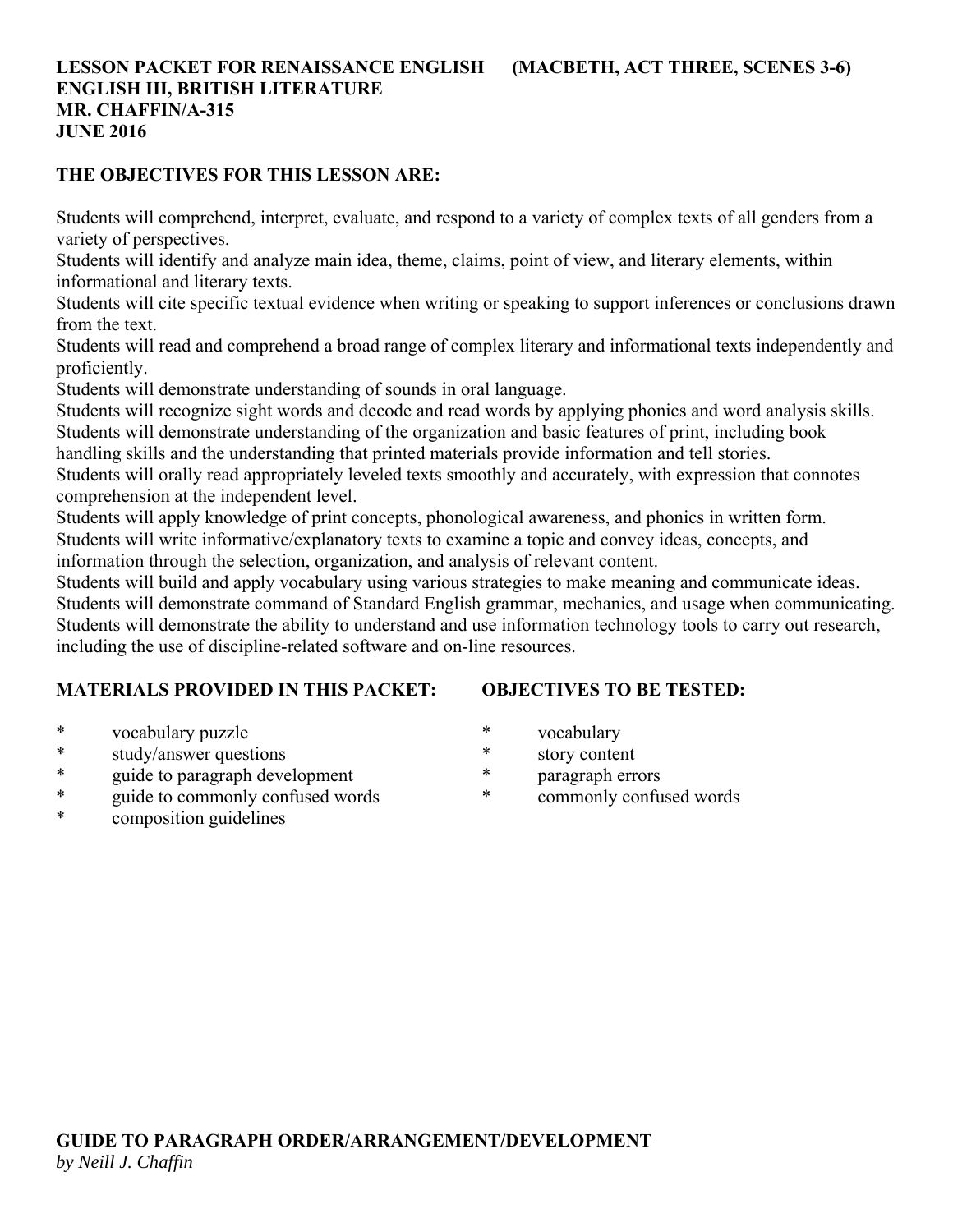## **LESSON PACKET FOR RENAISSANCE ENGLISH (MACBETH, ACT THREE, SCENES 3-6) ENGLISH III, BRITISH LITERATURE MR. CHAFFIN/A-315 JUNE 2016**

#### **THE OBJECTIVES FOR THIS LESSON ARE:**

Students will comprehend, interpret, evaluate, and respond to a variety of complex texts of all genders from a variety of perspectives.

Students will identify and analyze main idea, theme, claims, point of view, and literary elements, within informational and literary texts.

Students will cite specific textual evidence when writing or speaking to support inferences or conclusions drawn from the text.

Students will read and comprehend a broad range of complex literary and informational texts independently and proficiently.

Students will demonstrate understanding of sounds in oral language.

Students will recognize sight words and decode and read words by applying phonics and word analysis skills. Students will demonstrate understanding of the organization and basic features of print, including book

handling skills and the understanding that printed materials provide information and tell stories.

Students will orally read appropriately leveled texts smoothly and accurately, with expression that connotes comprehension at the independent level.

Students will apply knowledge of print concepts, phonological awareness, and phonics in written form. Students will write informative/explanatory texts to examine a topic and convey ideas, concepts, and information through the selection, organization, and analysis of relevant content.

Students will build and apply vocabulary using various strategies to make meaning and communicate ideas. Students will demonstrate command of Standard English grammar, mechanics, and usage when communicating. Students will demonstrate the ability to understand and use information technology tools to carry out research, including the use of discipline-related software and on-line resources.

#### **MATERIALS PROVIDED IN THIS PACKET:**

## **OBJECTIVES TO BE TESTED:**

- \* vocabulary puzzle
- \* study/answer questions
- \* guide to paragraph development
- \* guide to commonly confused words
- \* composition guidelines
- \* vocabulary
- \* story content
- \* paragraph errors
- commonly confused words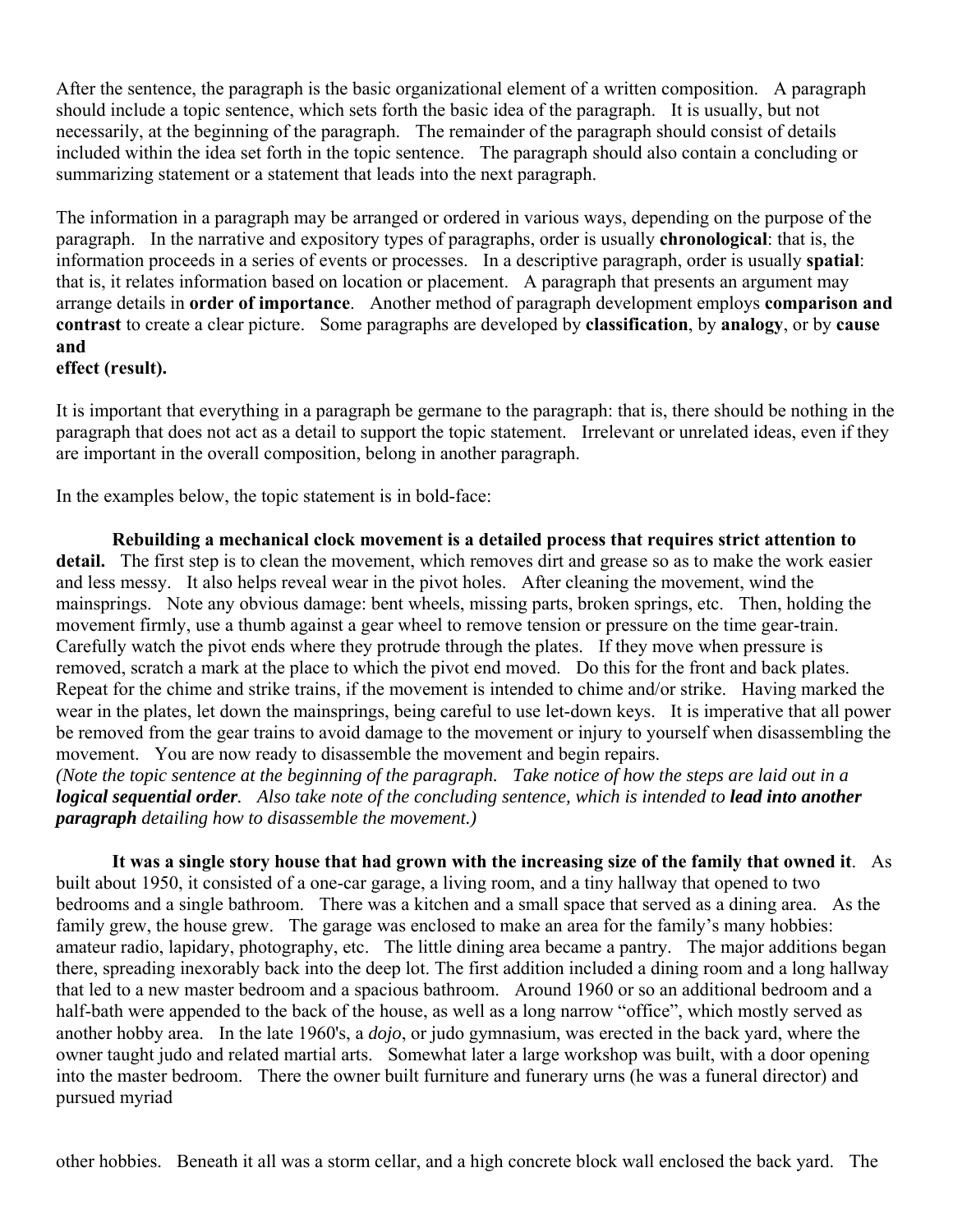After the sentence, the paragraph is the basic organizational element of a written composition. A paragraph should include a topic sentence, which sets forth the basic idea of the paragraph. It is usually, but not necessarily, at the beginning of the paragraph. The remainder of the paragraph should consist of details included within the idea set forth in the topic sentence. The paragraph should also contain a concluding or summarizing statement or a statement that leads into the next paragraph.

The information in a paragraph may be arranged or ordered in various ways, depending on the purpose of the paragraph. In the narrative and expository types of paragraphs, order is usually **chronological**: that is, the information proceeds in a series of events or processes. In a descriptive paragraph, order is usually **spatial**: that is, it relates information based on location or placement. A paragraph that presents an argument may arrange details in **order of importance**. Another method of paragraph development employs **comparison and contrast** to create a clear picture. Some paragraphs are developed by **classification**, by **analogy**, or by **cause and** 

#### **effect (result).**

It is important that everything in a paragraph be germane to the paragraph: that is, there should be nothing in the paragraph that does not act as a detail to support the topic statement. Irrelevant or unrelated ideas, even if they are important in the overall composition, belong in another paragraph.

In the examples below, the topic statement is in bold-face:

**Rebuilding a mechanical clock movement is a detailed process that requires strict attention to detail.** The first step is to clean the movement, which removes dirt and grease so as to make the work easier and less messy. It also helps reveal wear in the pivot holes. After cleaning the movement, wind the mainsprings. Note any obvious damage: bent wheels, missing parts, broken springs, etc. Then, holding the movement firmly, use a thumb against a gear wheel to remove tension or pressure on the time gear-train. Carefully watch the pivot ends where they protrude through the plates. If they move when pressure is removed, scratch a mark at the place to which the pivot end moved. Do this for the front and back plates. Repeat for the chime and strike trains, if the movement is intended to chime and/or strike. Having marked the wear in the plates, let down the mainsprings, being careful to use let-down keys. It is imperative that all power be removed from the gear trains to avoid damage to the movement or injury to yourself when disassembling the movement. You are now ready to disassemble the movement and begin repairs.

*(Note the topic sentence at the beginning of the paragraph. Take notice of how the steps are laid out in a logical sequential order.* Also take note of the concluding sentence, which is intended to *lead into another paragraph detailing how to disassemble the movement.)*

**It was a single story house that had grown with the increasing size of the family that owned it**. As built about 1950, it consisted of a one-car garage, a living room, and a tiny hallway that opened to two bedrooms and a single bathroom. There was a kitchen and a small space that served as a dining area. As the family grew, the house grew. The garage was enclosed to make an area for the family's many hobbies: amateur radio, lapidary, photography, etc. The little dining area became a pantry. The major additions began there, spreading inexorably back into the deep lot. The first addition included a dining room and a long hallway that led to a new master bedroom and a spacious bathroom. Around 1960 or so an additional bedroom and a half-bath were appended to the back of the house, as well as a long narrow "office", which mostly served as another hobby area. In the late 1960's, a *dojo*, or judo gymnasium, was erected in the back yard, where the owner taught judo and related martial arts. Somewhat later a large workshop was built, with a door opening into the master bedroom. There the owner built furniture and funerary urns (he was a funeral director) and pursued myriad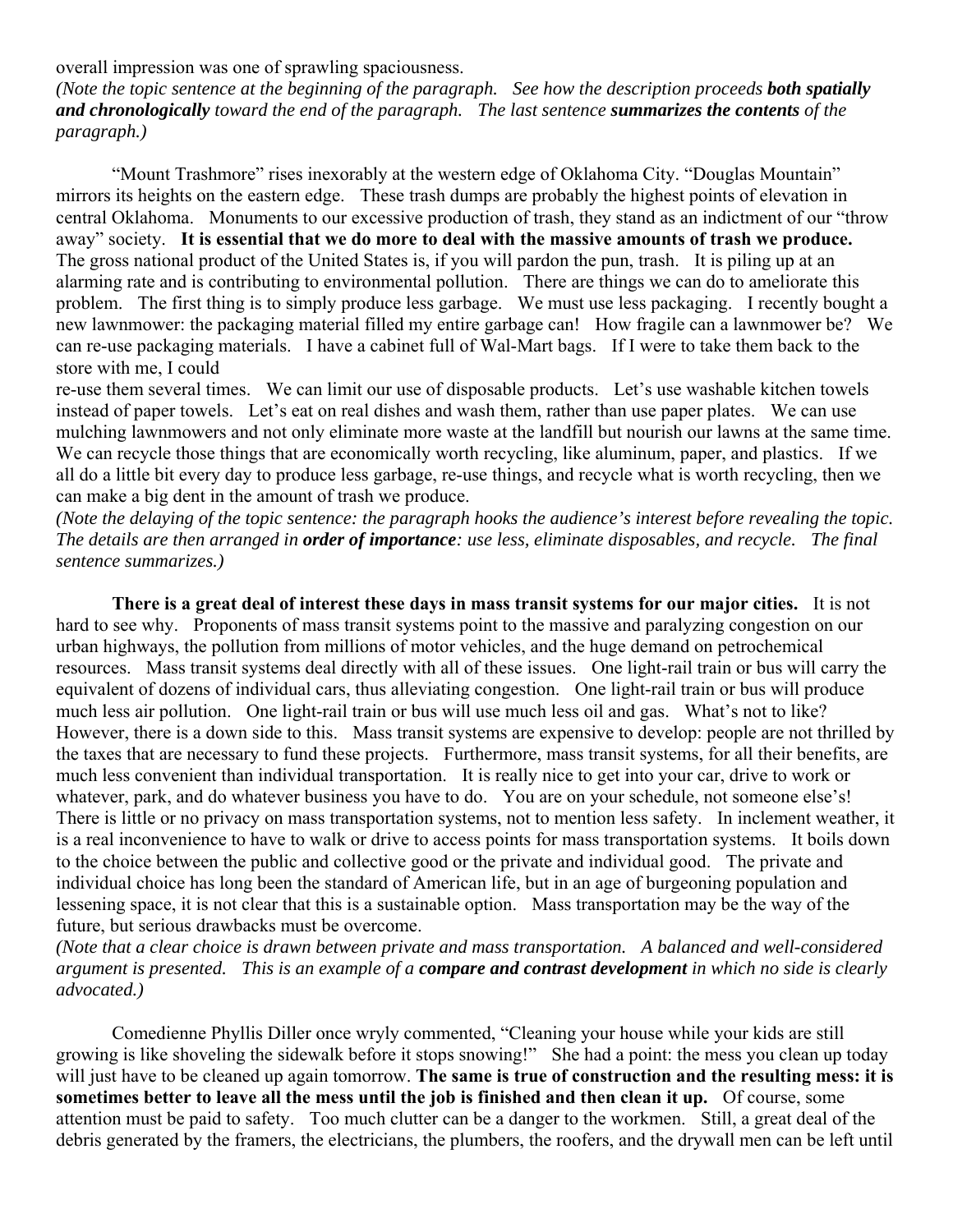overall impression was one of sprawling spaciousness.

*(Note the topic sentence at the beginning of the paragraph. See how the description proceeds both spatially and chronologically toward the end of the paragraph. The last sentence summarizes the contents of the paragraph.)*

 "Mount Trashmore" rises inexorably at the western edge of Oklahoma City. "Douglas Mountain" mirrors its heights on the eastern edge. These trash dumps are probably the highest points of elevation in central Oklahoma. Monuments to our excessive production of trash, they stand as an indictment of our "throw away" society. **It is essential that we do more to deal with the massive amounts of trash we produce.** The gross national product of the United States is, if you will pardon the pun, trash. It is piling up at an alarming rate and is contributing to environmental pollution. There are things we can do to ameliorate this problem. The first thing is to simply produce less garbage. We must use less packaging. I recently bought a new lawnmower: the packaging material filled my entire garbage can! How fragile can a lawnmower be? We can re-use packaging materials. I have a cabinet full of Wal-Mart bags. If I were to take them back to the store with me, I could

re-use them several times. We can limit our use of disposable products. Let's use washable kitchen towels instead of paper towels. Let's eat on real dishes and wash them, rather than use paper plates. We can use mulching lawnmowers and not only eliminate more waste at the landfill but nourish our lawns at the same time. We can recycle those things that are economically worth recycling, like aluminum, paper, and plastics. If we all do a little bit every day to produce less garbage, re-use things, and recycle what is worth recycling, then we can make a big dent in the amount of trash we produce.

*(Note the delaying of the topic sentence: the paragraph hooks the audience's interest before revealing the topic. The details are then arranged in order of importance: use less, eliminate disposables, and recycle. The final sentence summarizes.)*

 **There is a great deal of interest these days in mass transit systems for our major cities.** It is not hard to see why. Proponents of mass transit systems point to the massive and paralyzing congestion on our urban highways, the pollution from millions of motor vehicles, and the huge demand on petrochemical resources. Mass transit systems deal directly with all of these issues. One light-rail train or bus will carry the equivalent of dozens of individual cars, thus alleviating congestion. One light-rail train or bus will produce much less air pollution. One light-rail train or bus will use much less oil and gas. What's not to like? However, there is a down side to this. Mass transit systems are expensive to develop: people are not thrilled by the taxes that are necessary to fund these projects. Furthermore, mass transit systems, for all their benefits, are much less convenient than individual transportation. It is really nice to get into your car, drive to work or whatever, park, and do whatever business you have to do. You are on your schedule, not someone else's! There is little or no privacy on mass transportation systems, not to mention less safety. In inclement weather, it is a real inconvenience to have to walk or drive to access points for mass transportation systems. It boils down to the choice between the public and collective good or the private and individual good. The private and individual choice has long been the standard of American life, but in an age of burgeoning population and lessening space, it is not clear that this is a sustainable option. Mass transportation may be the way of the future, but serious drawbacks must be overcome.

*(Note that a clear choice is drawn between private and mass transportation. A balanced and well-considered argument is presented. This is an example of a compare and contrast development in which no side is clearly advocated.)*

 Comedienne Phyllis Diller once wryly commented, "Cleaning your house while your kids are still growing is like shoveling the sidewalk before it stops snowing!" She had a point: the mess you clean up today will just have to be cleaned up again tomorrow. **The same is true of construction and the resulting mess: it is sometimes better to leave all the mess until the job is finished and then clean it up.** Of course, some attention must be paid to safety. Too much clutter can be a danger to the workmen. Still, a great deal of the debris generated by the framers, the electricians, the plumbers, the roofers, and the drywall men can be left until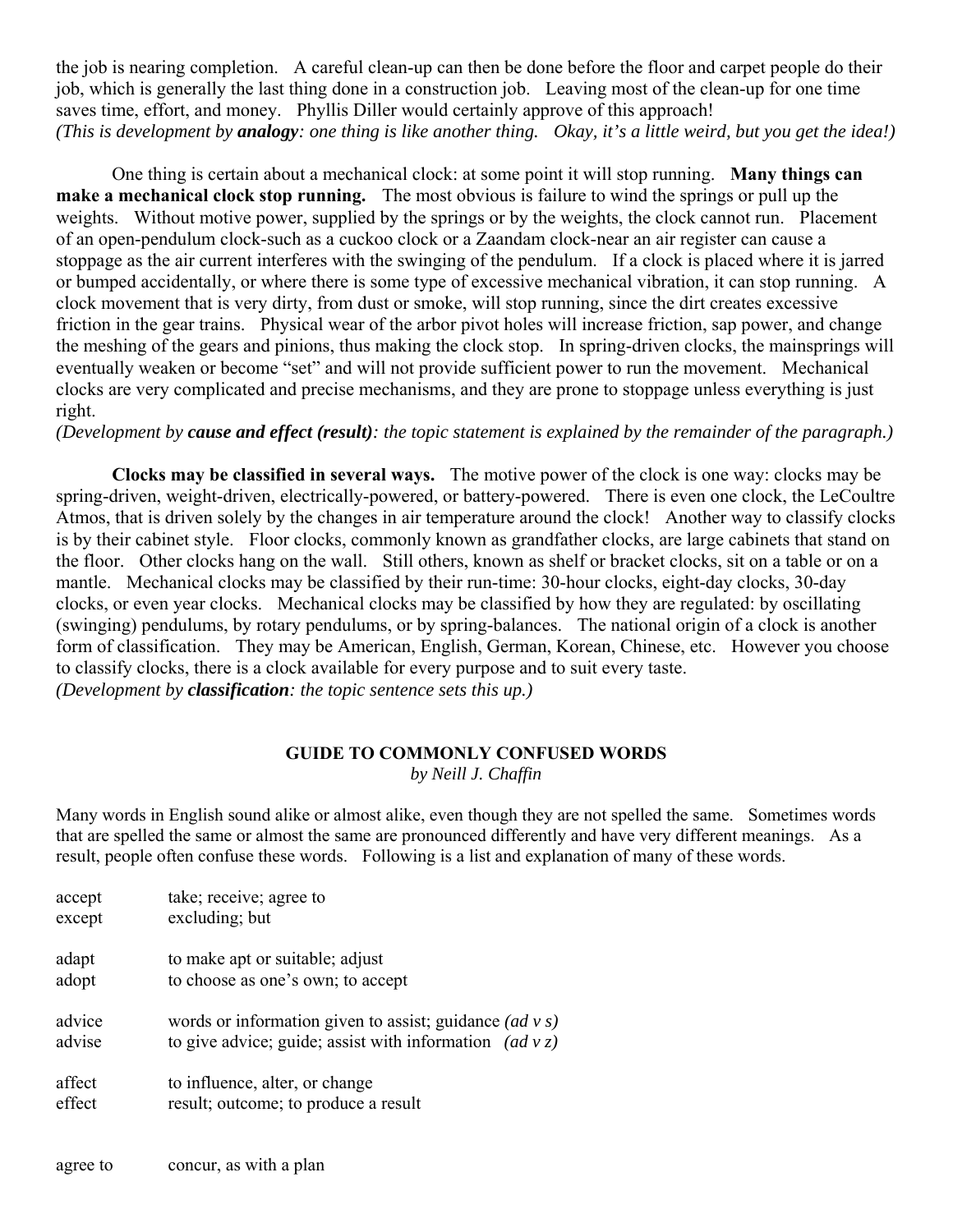the job is nearing completion. A careful clean-up can then be done before the floor and carpet people do their job, which is generally the last thing done in a construction job. Leaving most of the clean-up for one time saves time, effort, and money. Phyllis Diller would certainly approve of this approach! *(This is development by analogy: one thing is like another thing. Okay, it's a little weird, but you get the idea!)*

 One thing is certain about a mechanical clock: at some point it will stop running. **Many things can make a mechanical clock stop running.** The most obvious is failure to wind the springs or pull up the weights. Without motive power, supplied by the springs or by the weights, the clock cannot run. Placement of an open-pendulum clock-such as a cuckoo clock or a Zaandam clock-near an air register can cause a stoppage as the air current interferes with the swinging of the pendulum. If a clock is placed where it is jarred or bumped accidentally, or where there is some type of excessive mechanical vibration, it can stop running. A clock movement that is very dirty, from dust or smoke, will stop running, since the dirt creates excessive friction in the gear trains. Physical wear of the arbor pivot holes will increase friction, sap power, and change the meshing of the gears and pinions, thus making the clock stop. In spring-driven clocks, the mainsprings will eventually weaken or become "set" and will not provide sufficient power to run the movement. Mechanical clocks are very complicated and precise mechanisms, and they are prone to stoppage unless everything is just right.

*(Development by cause and effect (result): the topic statement is explained by the remainder of the paragraph.)*

 **Clocks may be classified in several ways.** The motive power of the clock is one way: clocks may be spring-driven, weight-driven, electrically-powered, or battery-powered. There is even one clock, the LeCoultre Atmos, that is driven solely by the changes in air temperature around the clock! Another way to classify clocks is by their cabinet style. Floor clocks, commonly known as grandfather clocks, are large cabinets that stand on the floor. Other clocks hang on the wall. Still others, known as shelf or bracket clocks, sit on a table or on a mantle. Mechanical clocks may be classified by their run-time: 30-hour clocks, eight-day clocks, 30-day clocks, or even year clocks. Mechanical clocks may be classified by how they are regulated: by oscillating (swinging) pendulums, by rotary pendulums, or by spring-balances. The national origin of a clock is another form of classification. They may be American, English, German, Korean, Chinese, etc. However you choose to classify clocks, there is a clock available for every purpose and to suit every taste. *(Development by classification: the topic sentence sets this up.)*

# **GUIDE TO COMMONLY CONFUSED WORDS**

*by Neill J. Chaffin*

Many words in English sound alike or almost alike, even though they are not spelled the same. Sometimes words that are spelled the same or almost the same are pronounced differently and have very different meanings. As a result, people often confuse these words. Following is a list and explanation of many of these words.

| accept | take; receive; agree to                                         |
|--------|-----------------------------------------------------------------|
| except | excluding; but                                                  |
| adapt  | to make apt or suitable; adjust                                 |
| adopt  | to choose as one's own; to accept                               |
| advice | words or information given to assist; guidance $(ad \, v \, s)$ |
| advise | to give advice; guide; assist with information $(ad \nu z)$     |
| affect | to influence, alter, or change                                  |
| effect | result; outcome; to produce a result                            |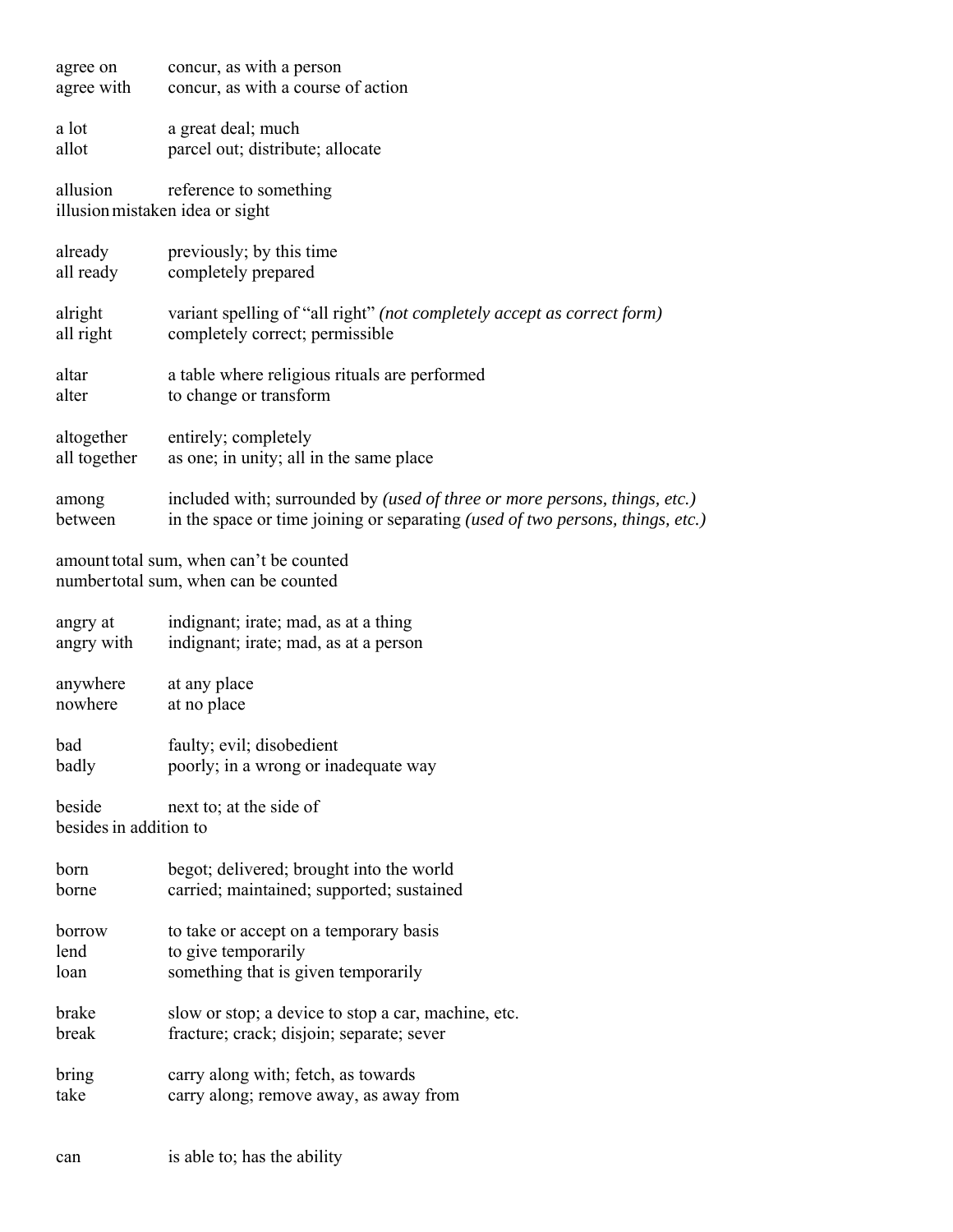| agree on<br>agree with                                                          | concur, as with a person<br>concur, as with a course of action                                                                                                      |  |
|---------------------------------------------------------------------------------|---------------------------------------------------------------------------------------------------------------------------------------------------------------------|--|
| a lot<br>allot                                                                  | a great deal; much<br>parcel out; distribute; allocate                                                                                                              |  |
| allusion                                                                        | reference to something<br>illusion mistaken idea or sight                                                                                                           |  |
| already<br>all ready                                                            | previously; by this time<br>completely prepared                                                                                                                     |  |
| alright<br>all right                                                            | variant spelling of "all right" (not completely accept as correct form)<br>completely correct; permissible                                                          |  |
| altar<br>alter                                                                  | a table where religious rituals are performed<br>to change or transform                                                                                             |  |
| altogether<br>all together                                                      | entirely; completely<br>as one; in unity; all in the same place                                                                                                     |  |
| among<br>between                                                                | included with; surrounded by (used of three or more persons, things, etc.)<br>in the space or time joining or separating <i>(used of two persons, things, etc.)</i> |  |
| amount total sum, when can't be counted<br>numbertotal sum, when can be counted |                                                                                                                                                                     |  |
| angry at<br>angry with                                                          | indignant; irate; mad, as at a thing<br>indignant; irate; mad, as at a person                                                                                       |  |
| anywhere<br>nowhere                                                             | at any place<br>at no place                                                                                                                                         |  |
| bad<br>badly                                                                    | faulty; evil; disobedient<br>poorly; in a wrong or inadequate way                                                                                                   |  |
| beside<br>besides in addition to                                                | next to; at the side of                                                                                                                                             |  |
|                                                                                 |                                                                                                                                                                     |  |
| born<br>borne                                                                   | begot; delivered; brought into the world<br>carried; maintained; supported; sustained                                                                               |  |
| borrow                                                                          | to take or accept on a temporary basis                                                                                                                              |  |
| lend                                                                            | to give temporarily                                                                                                                                                 |  |
| loan                                                                            | something that is given temporarily                                                                                                                                 |  |
| brake                                                                           | slow or stop; a device to stop a car, machine, etc.                                                                                                                 |  |
| break                                                                           | fracture; crack; disjoin; separate; sever                                                                                                                           |  |
| bring                                                                           | carry along with; fetch, as towards                                                                                                                                 |  |
| take                                                                            | carry along; remove away, as away from                                                                                                                              |  |
|                                                                                 |                                                                                                                                                                     |  |
| can                                                                             | is able to; has the ability                                                                                                                                         |  |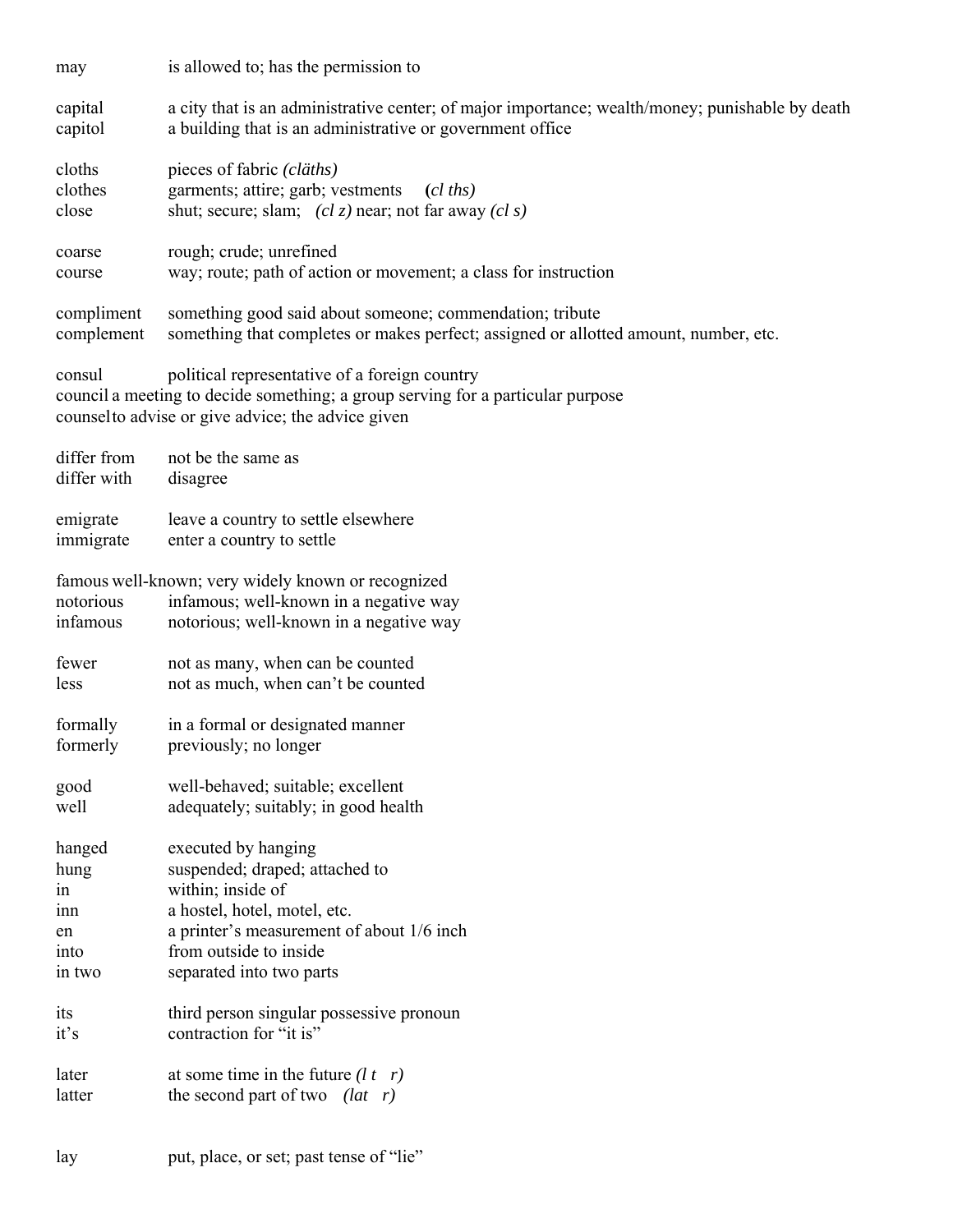| may                        | is allowed to; has the permission to                                                                                                                                                   |
|----------------------------|----------------------------------------------------------------------------------------------------------------------------------------------------------------------------------------|
| capital<br>capitol         | a city that is an administrative center; of major importance; wealth/money; punishable by death<br>a building that is an administrative or government office                           |
| cloths                     | pieces of fabric (cläths)                                                                                                                                                              |
| clothes                    | garments; attire; garb; vestments<br>$(cl$ ths)                                                                                                                                        |
| close                      | shut; secure; slam; $(cl z)$ near; not far away $(cl s)$                                                                                                                               |
| coarse<br>course           | rough; crude; unrefined<br>way; route; path of action or movement; a class for instruction                                                                                             |
| compliment<br>complement   | something good said about someone; commendation; tribute<br>something that completes or makes perfect; assigned or allotted amount, number, etc.                                       |
| consul                     | political representative of a foreign country<br>council a meeting to decide something; a group serving for a particular purpose<br>counsel to advise or give advice; the advice given |
| differ from<br>differ with | not be the same as<br>disagree                                                                                                                                                         |
| emigrate                   | leave a country to settle elsewhere                                                                                                                                                    |
| immigrate                  | enter a country to settle                                                                                                                                                              |
| notorious<br>infamous      | famous well-known; very widely known or recognized<br>infamous; well-known in a negative way<br>notorious; well-known in a negative way                                                |
|                            |                                                                                                                                                                                        |
| fewer<br>less              | not as many, when can be counted<br>not as much, when can't be counted                                                                                                                 |
| formally                   | in a formal or designated manner                                                                                                                                                       |
| formerly                   | previously; no longer                                                                                                                                                                  |
| good                       | well-behaved; suitable; excellent                                                                                                                                                      |
| well                       | adequately; suitably; in good health                                                                                                                                                   |
| hanged                     | executed by hanging                                                                                                                                                                    |
| hung                       | suspended; draped; attached to                                                                                                                                                         |
| in                         | within; inside of                                                                                                                                                                      |
| 1nn                        | a hostel, hotel, motel, etc.                                                                                                                                                           |
| en                         | a printer's measurement of about 1/6 inch                                                                                                                                              |
| into                       | from outside to inside                                                                                                                                                                 |
| in two                     | separated into two parts                                                                                                                                                               |
| its                        | third person singular possessive pronoun                                                                                                                                               |
| it's                       | contraction for "it is"                                                                                                                                                                |
| later                      | at some time in the future $(l t r)$                                                                                                                                                   |
| latter                     | the second part of two $(lat \ r)$                                                                                                                                                     |
|                            |                                                                                                                                                                                        |
| lay                        | put, place, or set; past tense of "lie"                                                                                                                                                |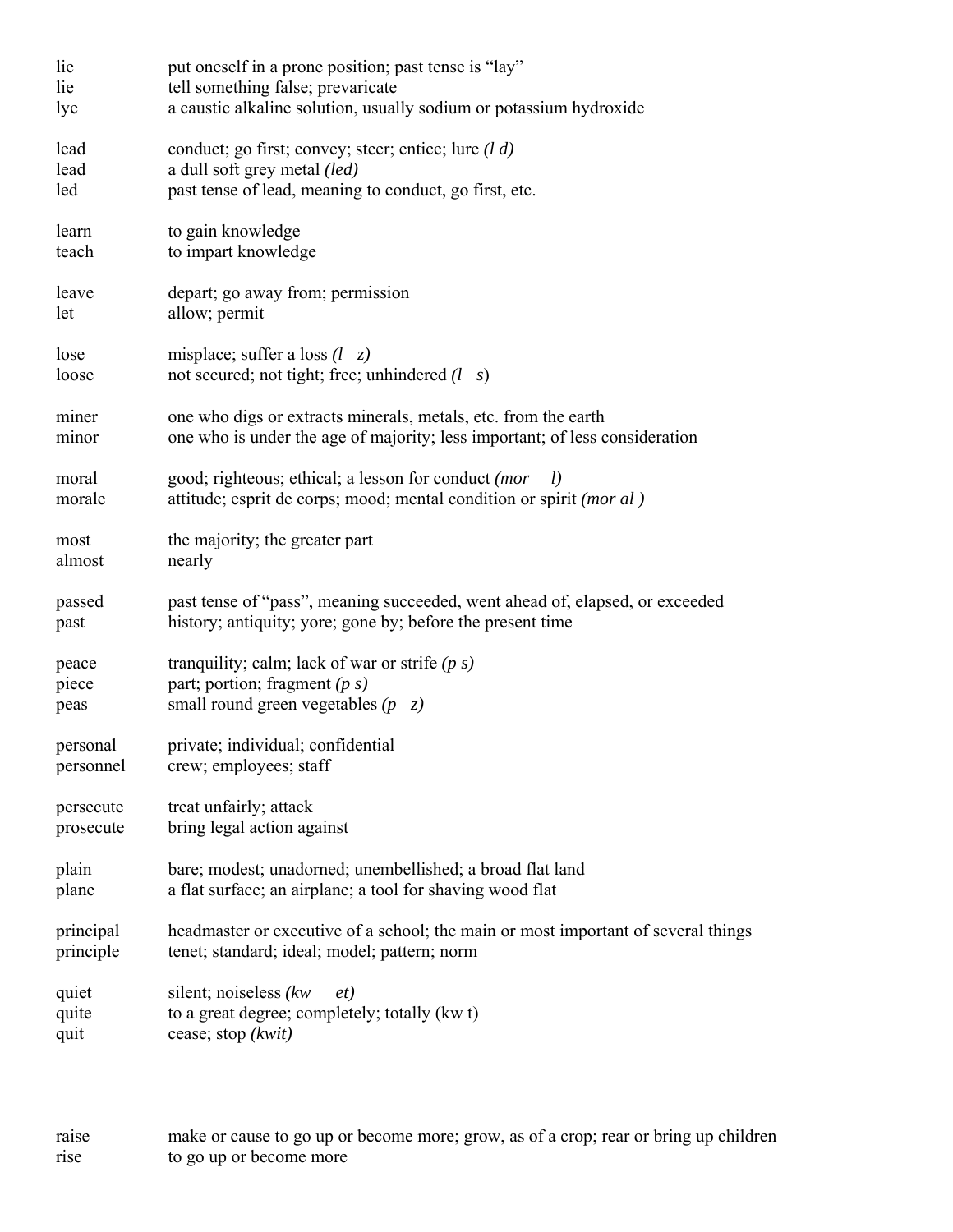| lie                    | put oneself in a prone position; past tense is "lay"                                                                             |
|------------------------|----------------------------------------------------------------------------------------------------------------------------------|
| lie                    | tell something false; prevaricate                                                                                                |
| lye                    | a caustic alkaline solution, usually sodium or potassium hydroxide                                                               |
| lead                   | conduct; go first; convey; steer; entice; lure $(l d)$                                                                           |
| lead                   | a dull soft grey metal (led)                                                                                                     |
| led                    | past tense of lead, meaning to conduct, go first, etc.                                                                           |
| learn                  | to gain knowledge                                                                                                                |
| teach                  | to impart knowledge                                                                                                              |
| leave                  | depart; go away from; permission                                                                                                 |
| let                    | allow; permit                                                                                                                    |
| lose                   | misplace; suffer a loss $(l \ z)$                                                                                                |
| loose                  | not secured; not tight; free; unhindered $(l \ s)$                                                                               |
| miner                  | one who digs or extracts minerals, metals, etc. from the earth                                                                   |
| minor                  | one who is under the age of majority; less important; of less consideration                                                      |
| moral<br>morale        | good; righteous; ethical; a lesson for conduct (mor<br>l<br>attitude; esprit de corps; mood; mental condition or spirit (mor al) |
| most                   | the majority; the greater part                                                                                                   |
| almost                 | nearly                                                                                                                           |
| passed                 | past tense of "pass", meaning succeeded, went ahead of, elapsed, or exceeded                                                     |
| past                   | history; antiquity; yore; gone by; before the present time                                                                       |
| peace                  | tranquility; calm; lack of war or strife $(p s)$                                                                                 |
| piece                  | part; portion; fragment $(p s)$                                                                                                  |
| peas                   | small round green vegetables $(p \ z)$                                                                                           |
| personal               | private; individual; confidential                                                                                                |
| personnel              | crew; employees; staff                                                                                                           |
| persecute              | treat unfairly; attack                                                                                                           |
| prosecute              | bring legal action against                                                                                                       |
| plain                  | bare; modest; unadorned; unembellished; a broad flat land                                                                        |
| plane                  | a flat surface; an airplane; a tool for shaving wood flat                                                                        |
| principal              | headmaster or executive of a school; the main or most important of several things                                                |
| principle              | tenet; standard; ideal; model; pattern; norm                                                                                     |
| quiet<br>quite<br>quit | silent; noiseless (kw)<br>et)<br>to a great degree; completely; totally (kw t)<br>cease; stop (kwit)                             |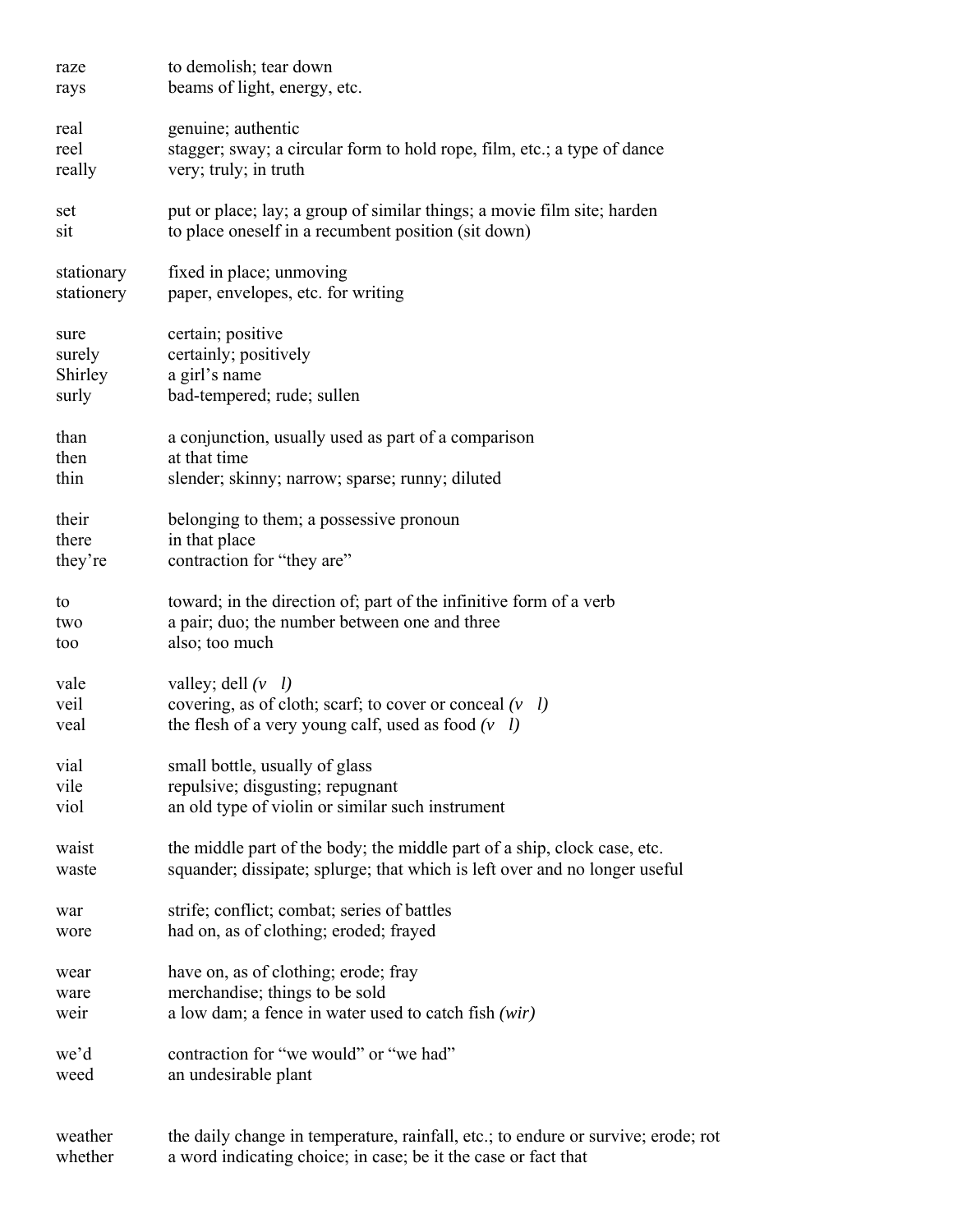| raze<br>rays             | to demolish; tear down<br>beams of light, energy, etc.                                                                                              |
|--------------------------|-----------------------------------------------------------------------------------------------------------------------------------------------------|
| real                     | genuine; authentic                                                                                                                                  |
| reel                     | stagger; sway; a circular form to hold rope, film, etc.; a type of dance                                                                            |
| really                   | very; truly; in truth                                                                                                                               |
| set<br>sit               | put or place; lay; a group of similar things; a movie film site; harden<br>to place oneself in a recumbent position (sit down)                      |
| stationary<br>stationery | fixed in place; unmoving<br>paper, envelopes, etc. for writing                                                                                      |
| sure                     | certain; positive                                                                                                                                   |
| surely                   | certainly; positively                                                                                                                               |
| Shirley                  | a girl's name                                                                                                                                       |
| surly                    | bad-tempered; rude; sullen                                                                                                                          |
| than                     | a conjunction, usually used as part of a comparison                                                                                                 |
| then                     | at that time                                                                                                                                        |
| thin                     | slender; skinny; narrow; sparse; runny; diluted                                                                                                     |
| their                    | belonging to them; a possessive pronoun                                                                                                             |
| there                    | in that place                                                                                                                                       |
| they're                  | contraction for "they are"                                                                                                                          |
| to                       | toward; in the direction of; part of the infinitive form of a verb                                                                                  |
| two                      | a pair; duo; the number between one and three                                                                                                       |
| too                      | also; too much                                                                                                                                      |
| vale                     | valley; dell $(v \; l)$                                                                                                                             |
| veil                     | covering, as of cloth; scarf; to cover or conceal $(v \mid l)$                                                                                      |
| veal                     | the flesh of a very young calf, used as food $(v \mid l)$                                                                                           |
| vial                     | small bottle, usually of glass                                                                                                                      |
| vile                     | repulsive; disgusting; repugnant                                                                                                                    |
| viol                     | an old type of violin or similar such instrument                                                                                                    |
| waist                    | the middle part of the body; the middle part of a ship, clock case, etc.                                                                            |
| waste                    | squander; dissipate; splurge; that which is left over and no longer useful                                                                          |
| war                      | strife; conflict; combat; series of battles                                                                                                         |
| wore                     | had on, as of clothing; eroded; frayed                                                                                                              |
| wear                     | have on, as of clothing; erode; fray                                                                                                                |
| ware                     | merchandise; things to be sold                                                                                                                      |
| weir                     | a low dam; a fence in water used to catch fish $(wir)$                                                                                              |
| we'd                     | contraction for "we would" or "we had"                                                                                                              |
| weed                     | an undesirable plant                                                                                                                                |
| weather<br>whether       | the daily change in temperature, rainfall, etc.; to endure or survive; erode; rot<br>a word indicating choice; in case; be it the case or fact that |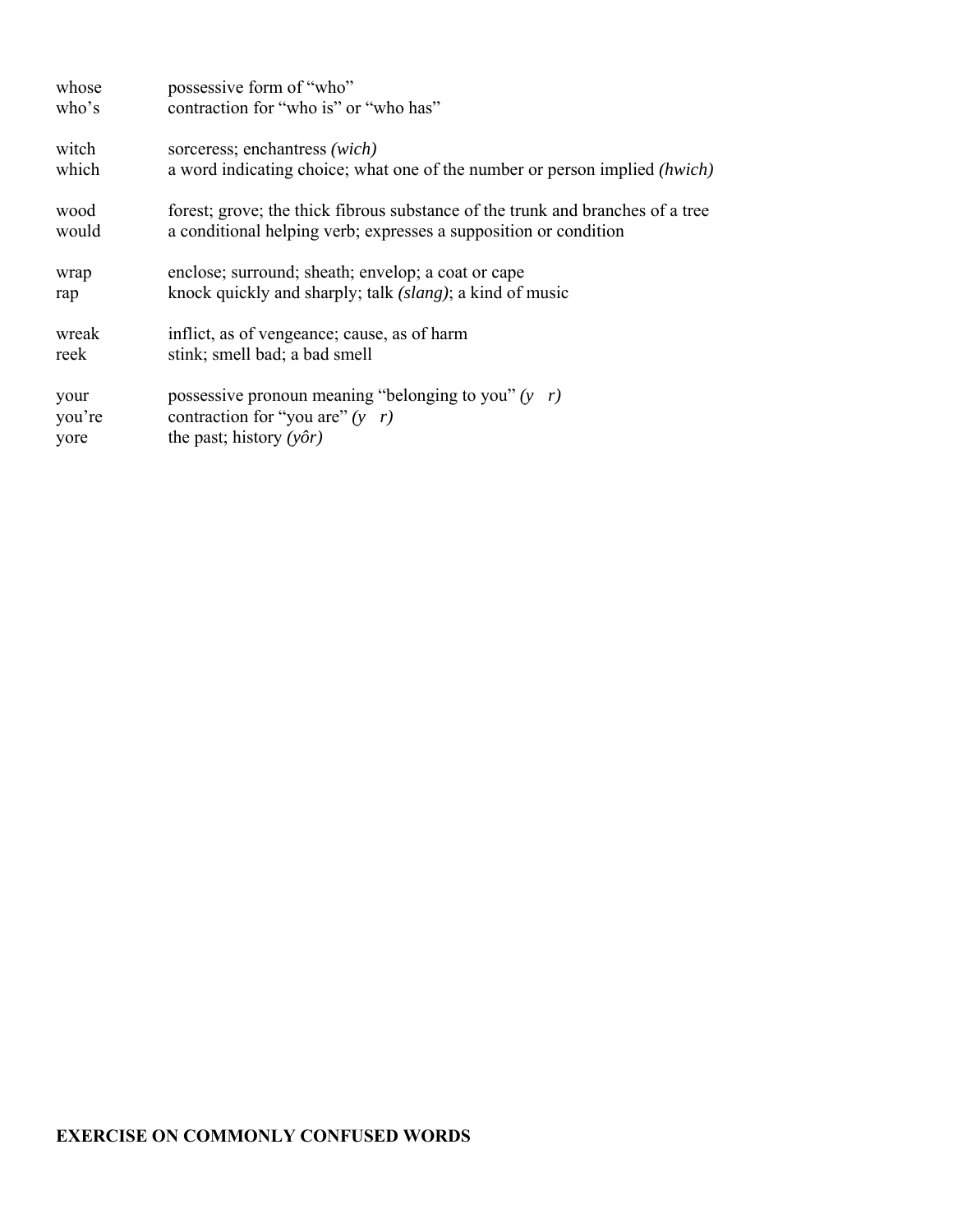| whose  | possessive form of "who"                                                          |
|--------|-----------------------------------------------------------------------------------|
| who's  | contraction for "who is" or "who has"                                             |
| witch  | sorceress; enchantress (wich)                                                     |
| which  | a word indicating choice; what one of the number or person implied <i>(hwich)</i> |
| wood   | forest; grove; the thick fibrous substance of the trunk and branches of a tree    |
| would  | a conditional helping verb; expresses a supposition or condition                  |
| wrap   | enclose; surround; sheath; envelop; a coat or cape                                |
| rap    | knock quickly and sharply; talk <i>(slang)</i> ; a kind of music                  |
| wreak  | inflict, as of vengeance; cause, as of harm                                       |
| reek   | stink; smell bad; a bad smell                                                     |
| your   | possessive pronoun meaning "belonging to you" $(y \ r)$                           |
| you're | contraction for "you are" $(y \mid r)$                                            |
| yore   | the past; history $(y\hat{o}r)$                                                   |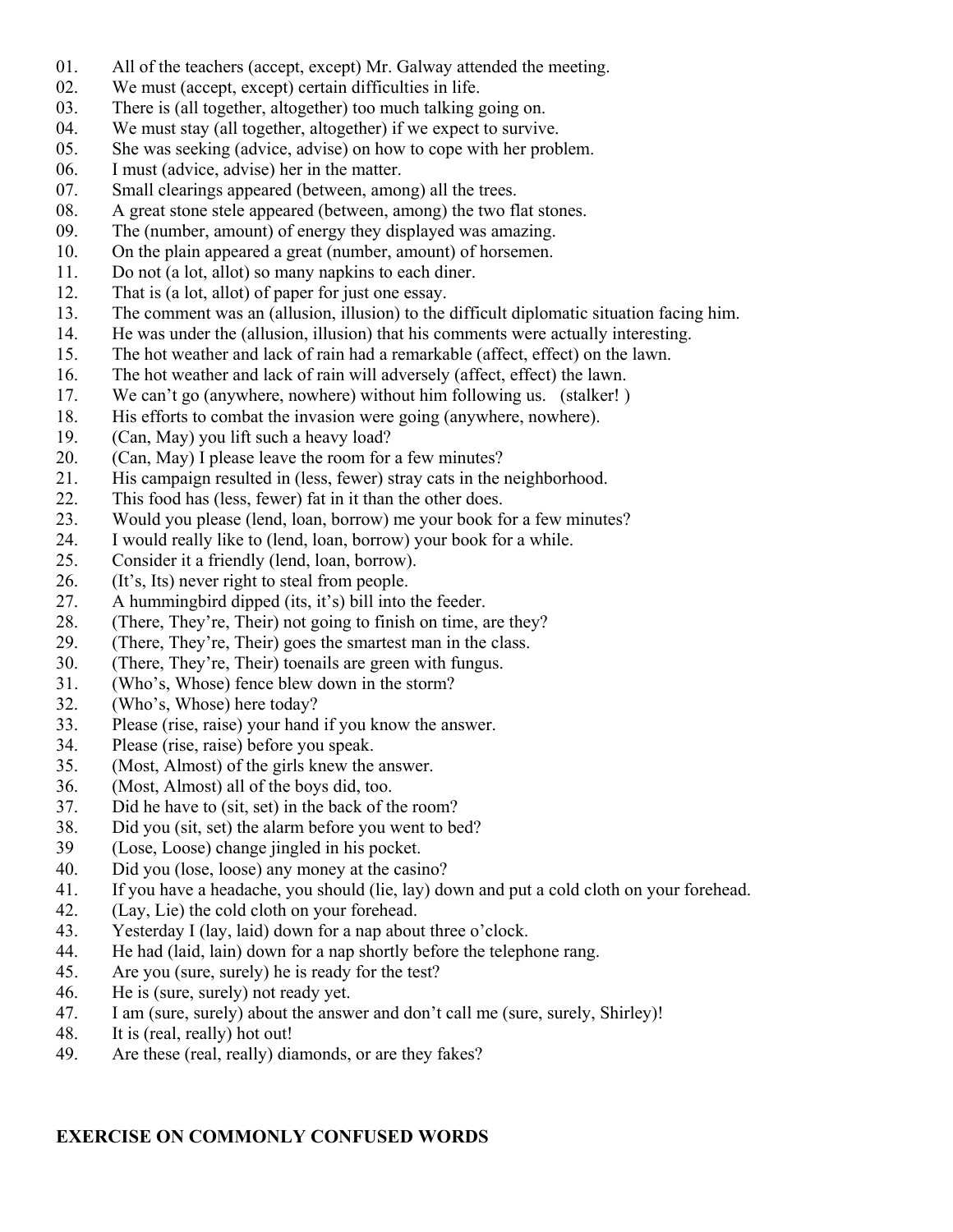- 01. All of the teachers (accept, except) Mr. Galway attended the meeting.
- 02. We must (accept, except) certain difficulties in life.
- 03. There is (all together, altogether) too much talking going on.
- 04. We must stay (all together, altogether) if we expect to survive.
- 05. She was seeking (advice, advise) on how to cope with her problem.
- 06. I must (advice, advise) her in the matter.
- 07. Small clearings appeared (between, among) all the trees.
- 08. A great stone stele appeared (between, among) the two flat stones.
- 09. The (number, amount) of energy they displayed was amazing.
- 10. On the plain appeared a great (number, amount) of horsemen.
- 11. Do not (a lot, allot) so many napkins to each diner.
- 12. That is (a lot, allot) of paper for just one essay.
- 13. The comment was an (allusion, illusion) to the difficult diplomatic situation facing him.
- 14. He was under the (allusion, illusion) that his comments were actually interesting.
- 15. The hot weather and lack of rain had a remarkable (affect, effect) on the lawn.
- 16. The hot weather and lack of rain will adversely (affect, effect) the lawn.
- 17. We can't go (anywhere, nowhere) without him following us. (stalker! )
- 18. His efforts to combat the invasion were going (anywhere, nowhere).
- 19. (Can, May) you lift such a heavy load?
- 20. (Can, May) I please leave the room for a few minutes?
- 21. His campaign resulted in (less, fewer) stray cats in the neighborhood.
- 22. This food has (less, fewer) fat in it than the other does.
- 23. Would you please (lend, loan, borrow) me your book for a few minutes?
- 24. I would really like to (lend, loan, borrow) your book for a while.
- 25. Consider it a friendly (lend, loan, borrow).
- 26. (It's, Its) never right to steal from people.
- 27. A hummingbird dipped (its, it's) bill into the feeder.
- 28. (There, They're, Their) not going to finish on time, are they?
- 29. (There, They're, Their) goes the smartest man in the class.
- 30. (There, They're, Their) toenails are green with fungus.
- 31. (Who's, Whose) fence blew down in the storm?
- 32. (Who's, Whose) here today?
- 33. Please (rise, raise) your hand if you know the answer.
- 34. Please (rise, raise) before you speak.
- 35. (Most, Almost) of the girls knew the answer.
- 36. (Most, Almost) all of the boys did, too.
- 37. Did he have to (sit, set) in the back of the room?
- 38. Did you (sit, set) the alarm before you went to bed?
- 39 (Lose, Loose) change jingled in his pocket.
- 40. Did you (lose, loose) any money at the casino?
- 41. If you have a headache, you should (lie, lay) down and put a cold cloth on your forehead.
- 42. (Lay, Lie) the cold cloth on your forehead.
- 43. Yesterday I (lay, laid) down for a nap about three o'clock.
- 44. He had (laid, lain) down for a nap shortly before the telephone rang.
- 45. Are you (sure, surely) he is ready for the test?
- 46. He is (sure, surely) not ready yet.
- 47. I am (sure, surely) about the answer and don't call me (sure, surely, Shirley)!
- 48. It is (real, really) hot out!
- 49. Are these (real, really) diamonds, or are they fakes?

#### **EXERCISE ON COMMONLY CONFUSED WORDS**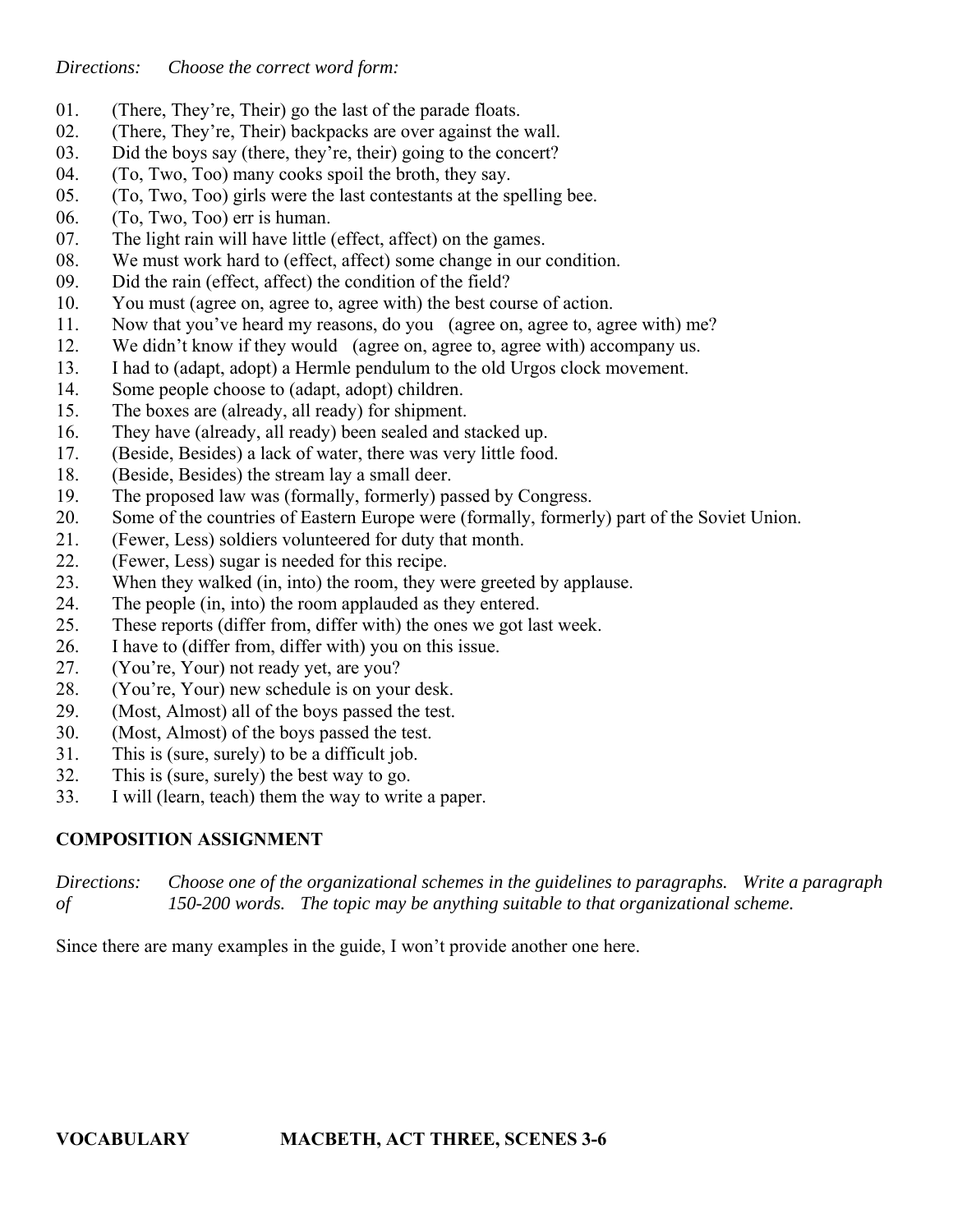*Directions: Choose the correct word form:*

- 01. (There, They're, Their) go the last of the parade floats.
- 02. (There, They're, Their) backpacks are over against the wall.
- 03. Did the boys say (there, they're, their) going to the concert?
- 04. (To, Two, Too) many cooks spoil the broth, they say.
- 05. (To, Two, Too) girls were the last contestants at the spelling bee.
- 06. (To, Two, Too) err is human.
- 07. The light rain will have little (effect, affect) on the games.
- 08. We must work hard to (effect, affect) some change in our condition.
- 09. Did the rain (effect, affect) the condition of the field?
- 10. You must (agree on, agree to, agree with) the best course of action.
- 11. Now that you've heard my reasons, do you (agree on, agree to, agree with) me?
- 12. We didn't know if they would (agree on, agree to, agree with) accompany us.
- 13. I had to (adapt, adopt) a Hermle pendulum to the old Urgos clock movement.
- 14. Some people choose to (adapt, adopt) children.
- 15. The boxes are (already, all ready) for shipment.
- 16. They have (already, all ready) been sealed and stacked up.
- 17. (Beside, Besides) a lack of water, there was very little food.
- 18. (Beside, Besides) the stream lay a small deer.
- 19. The proposed law was (formally, formerly) passed by Congress.
- 20. Some of the countries of Eastern Europe were (formally, formerly) part of the Soviet Union.
- 21. (Fewer, Less) soldiers volunteered for duty that month.
- 22. (Fewer, Less) sugar is needed for this recipe.
- 23. When they walked (in, into) the room, they were greeted by applause.
- 24. The people (in, into) the room applauded as they entered.
- 25. These reports (differ from, differ with) the ones we got last week.
- 26. I have to (differ from, differ with) you on this issue.
- 27. (You're, Your) not ready yet, are you?
- 28. (You're, Your) new schedule is on your desk.
- 29. (Most, Almost) all of the boys passed the test.
- 30. (Most, Almost) of the boys passed the test.
- 31. This is (sure, surely) to be a difficult job.
- 32. This is (sure, surely) the best way to go.
- 33. I will (learn, teach) them the way to write a paper.

## **COMPOSITION ASSIGNMENT**

*Directions: Choose one of the organizational schemes in the guidelines to paragraphs. Write a paragraph of 150-200 words. The topic may be anything suitable to that organizational scheme.*

Since there are many examples in the guide, I won't provide another one here.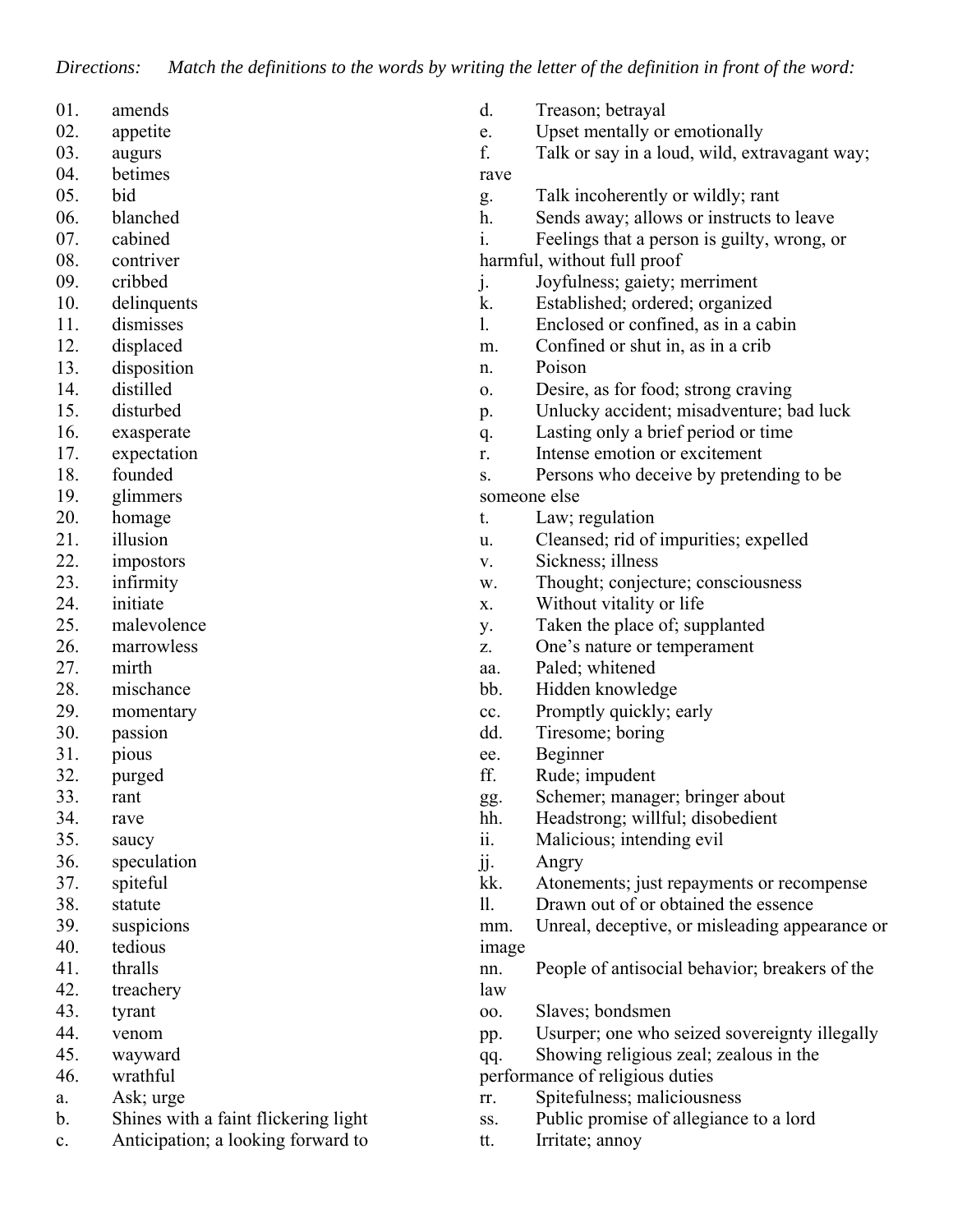*Directions: Match the definitions to the words by writing the letter of the definition in front of the word:*

- 01. amends
- 02. appetite
- 03. augurs
- 04. betimes
- 05. bid
- 06. blanched
- 07. cabined
- 08. contriver
- 09. cribbed
- 10. delinquents
- 11. dismisses
- 12. displaced
- 13. disposition
- 14. distilled
- 15. disturbed
- 16. exasperate
- 17. expectation
- 18. founded
- 19. glimmers
- 20. homage
- 21. illusion
- 22. impostors
- 23. infirmity
- 24. initiate
- 25. malevolence
- 26. marrowless
- 27. mirth
- 28. mischance
- 29. momentary
- 30. passion
- 31. pious
- 32. purged
- 33. rant
- 34. rave
- 35. saucy
- 36. speculation
- 37. spiteful
- 38. statute
- 39. suspicions
- 40. tedious
- 41. thralls
- 42. treachery
- 43. tyrant
- 44. venom
- 45. wayward
- 46. wrathful
- a. Ask; urge
- b. Shines with a faint flickering light
- c. Anticipation; a looking forward to
- d. Treason; betrayal
- e. Upset mentally or emotionally
- f. Talk or say in a loud, wild, extravagant way; rave
- g. Talk incoherently or wildly; rant
- h. Sends away; allows or instructs to leave
- i. Feelings that a person is guilty, wrong, or
- harmful, without full proof
- j. Joyfulness; gaiety; merriment
- k. Established; ordered; organized
- l. Enclosed or confined, as in a cabin
- m. Confined or shut in, as in a crib
- n. Poison
- o. Desire, as for food; strong craving
- p. Unlucky accident; misadventure; bad luck
- q. Lasting only a brief period or time
- r. Intense emotion or excitement
- s. Persons who deceive by pretending to be someone else
- t. Law; regulation
- u. Cleansed; rid of impurities; expelled
- v. Sickness; illness
- w. Thought; conjecture; consciousness
- x. Without vitality or life
- y. Taken the place of; supplanted
- z. One's nature or temperament
- aa. Paled; whitened
- bb. Hidden knowledge
- cc. Promptly quickly; early
- dd. Tiresome; boring
- ee. Beginner
- ff. Rude; impudent
- gg. Schemer; manager; bringer about
- hh. Headstrong; willful; disobedient
- ii. Malicious; intending evil
- jj. Angry
- kk. Atonements; just repayments or recompense
- ll. Drawn out of or obtained the essence

mm. Unreal, deceptive, or misleading appearance or image

- nn. People of antisocial behavior; breakers of the law
- oo. Slaves; bondsmen
- pp. Usurper; one who seized sovereignty illegally
- qq. Showing religious zeal; zealous in the

performance of religious duties

- rr. Spitefulness; maliciousness
- ss. Public promise of allegiance to a lord
- tt. Irritate; annoy